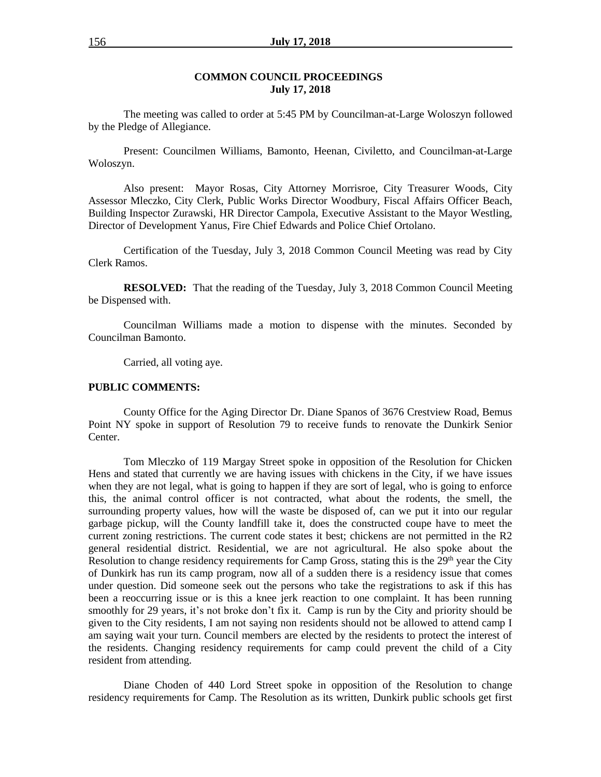#### **COMMON COUNCIL PROCEEDINGS July 17, 2018**

The meeting was called to order at 5:45 PM by Councilman-at-Large Woloszyn followed by the Pledge of Allegiance.

Present: Councilmen Williams, Bamonto, Heenan, Civiletto, and Councilman-at-Large Woloszyn.

Also present: Mayor Rosas, City Attorney Morrisroe, City Treasurer Woods, City Assessor Mleczko, City Clerk, Public Works Director Woodbury, Fiscal Affairs Officer Beach, Building Inspector Zurawski, HR Director Campola, Executive Assistant to the Mayor Westling, Director of Development Yanus, Fire Chief Edwards and Police Chief Ortolano.

Certification of the Tuesday, July 3, 2018 Common Council Meeting was read by City Clerk Ramos.

**RESOLVED:** That the reading of the Tuesday, July 3, 2018 Common Council Meeting be Dispensed with.

Councilman Williams made a motion to dispense with the minutes. Seconded by Councilman Bamonto.

Carried, all voting aye.

#### **PUBLIC COMMENTS:**

County Office for the Aging Director Dr. Diane Spanos of 3676 Crestview Road, Bemus Point NY spoke in support of Resolution 79 to receive funds to renovate the Dunkirk Senior Center.

Tom Mleczko of 119 Margay Street spoke in opposition of the Resolution for Chicken Hens and stated that currently we are having issues with chickens in the City, if we have issues when they are not legal, what is going to happen if they are sort of legal, who is going to enforce this, the animal control officer is not contracted, what about the rodents, the smell, the surrounding property values, how will the waste be disposed of, can we put it into our regular garbage pickup, will the County landfill take it, does the constructed coupe have to meet the current zoning restrictions. The current code states it best; chickens are not permitted in the R2 general residential district. Residential, we are not agricultural. He also spoke about the Resolution to change residency requirements for Camp Gross, stating this is the 29<sup>th</sup> year the City of Dunkirk has run its camp program, now all of a sudden there is a residency issue that comes under question. Did someone seek out the persons who take the registrations to ask if this has been a reoccurring issue or is this a knee jerk reaction to one complaint. It has been running smoothly for 29 years, it's not broke don't fix it. Camp is run by the City and priority should be given to the City residents, I am not saying non residents should not be allowed to attend camp I am saying wait your turn. Council members are elected by the residents to protect the interest of the residents. Changing residency requirements for camp could prevent the child of a City resident from attending.

Diane Choden of 440 Lord Street spoke in opposition of the Resolution to change residency requirements for Camp. The Resolution as its written, Dunkirk public schools get first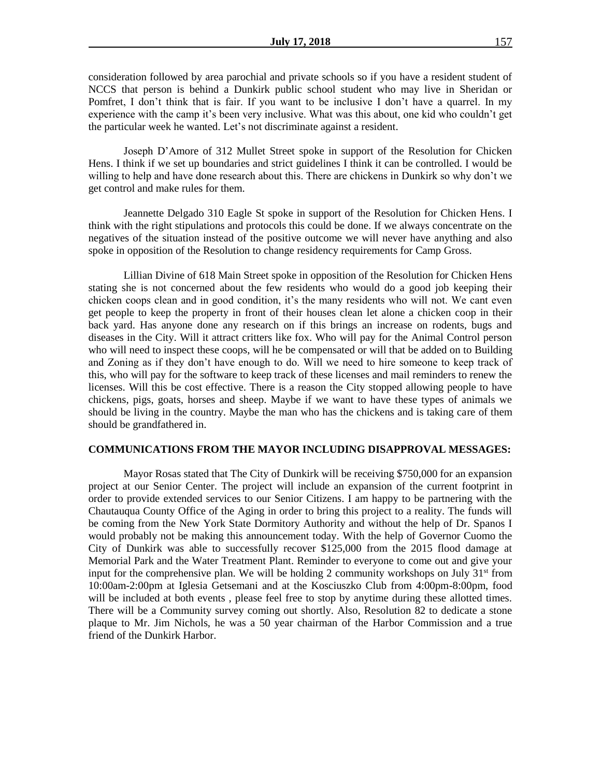consideration followed by area parochial and private schools so if you have a resident student of NCCS that person is behind a Dunkirk public school student who may live in Sheridan or Pomfret, I don't think that is fair. If you want to be inclusive I don't have a quarrel. In my experience with the camp it's been very inclusive. What was this about, one kid who couldn't get the particular week he wanted. Let's not discriminate against a resident.

Joseph D'Amore of 312 Mullet Street spoke in support of the Resolution for Chicken Hens. I think if we set up boundaries and strict guidelines I think it can be controlled. I would be willing to help and have done research about this. There are chickens in Dunkirk so why don't we get control and make rules for them.

Jeannette Delgado 310 Eagle St spoke in support of the Resolution for Chicken Hens. I think with the right stipulations and protocols this could be done. If we always concentrate on the negatives of the situation instead of the positive outcome we will never have anything and also spoke in opposition of the Resolution to change residency requirements for Camp Gross.

Lillian Divine of 618 Main Street spoke in opposition of the Resolution for Chicken Hens stating she is not concerned about the few residents who would do a good job keeping their chicken coops clean and in good condition, it's the many residents who will not. We cant even get people to keep the property in front of their houses clean let alone a chicken coop in their back yard. Has anyone done any research on if this brings an increase on rodents, bugs and diseases in the City. Will it attract critters like fox. Who will pay for the Animal Control person who will need to inspect these coops, will he be compensated or will that be added on to Building and Zoning as if they don't have enough to do. Will we need to hire someone to keep track of this, who will pay for the software to keep track of these licenses and mail reminders to renew the licenses. Will this be cost effective. There is a reason the City stopped allowing people to have chickens, pigs, goats, horses and sheep. Maybe if we want to have these types of animals we should be living in the country. Maybe the man who has the chickens and is taking care of them should be grandfathered in.

#### **COMMUNICATIONS FROM THE MAYOR INCLUDING DISAPPROVAL MESSAGES:**

Mayor Rosas stated that The City of Dunkirk will be receiving \$750,000 for an expansion project at our Senior Center. The project will include an expansion of the current footprint in order to provide extended services to our Senior Citizens. I am happy to be partnering with the Chautauqua County Office of the Aging in order to bring this project to a reality. The funds will be coming from the New York State Dormitory Authority and without the help of Dr. Spanos I would probably not be making this announcement today. With the help of Governor Cuomo the City of Dunkirk was able to successfully recover \$125,000 from the 2015 flood damage at Memorial Park and the Water Treatment Plant. Reminder to everyone to come out and give your input for the comprehensive plan. We will be holding 2 community workshops on July  $31<sup>st</sup>$  from 10:00am-2:00pm at Iglesia Getsemani and at the Kosciuszko Club from 4:00pm-8:00pm, food will be included at both events , please feel free to stop by anytime during these allotted times. There will be a Community survey coming out shortly. Also, Resolution 82 to dedicate a stone plaque to Mr. Jim Nichols, he was a 50 year chairman of the Harbor Commission and a true friend of the Dunkirk Harbor.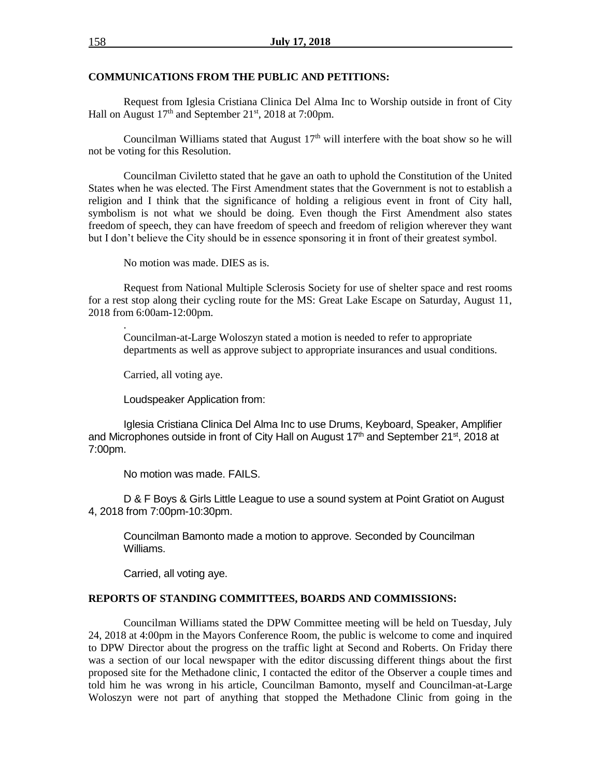#### **COMMUNICATIONS FROM THE PUBLIC AND PETITIONS:**

Request from Iglesia Cristiana Clinica Del Alma Inc to Worship outside in front of City Hall on August  $17<sup>th</sup>$  and September  $21<sup>st</sup>$ ,  $2018$  at 7:00pm.

Councilman Williams stated that August  $17<sup>th</sup>$  will interfere with the boat show so he will not be voting for this Resolution.

Councilman Civiletto stated that he gave an oath to uphold the Constitution of the United States when he was elected. The First Amendment states that the Government is not to establish a religion and I think that the significance of holding a religious event in front of City hall, symbolism is not what we should be doing. Even though the First Amendment also states freedom of speech, they can have freedom of speech and freedom of religion wherever they want but I don't believe the City should be in essence sponsoring it in front of their greatest symbol.

No motion was made. DIES as is.

Request from National Multiple Sclerosis Society for use of shelter space and rest rooms for a rest stop along their cycling route for the MS: Great Lake Escape on Saturday, August 11, 2018 from 6:00am-12:00pm.

Councilman-at-Large Woloszyn stated a motion is needed to refer to appropriate departments as well as approve subject to appropriate insurances and usual conditions.

Carried, all voting aye.

.

Loudspeaker Application from:

Iglesia Cristiana Clinica Del Alma Inc to use Drums, Keyboard, Speaker, Amplifier and Microphones outside in front of City Hall on August  $17<sup>th</sup>$  and September 21<sup>st</sup>, 2018 at 7:00pm.

No motion was made. FAILS.

D & F Boys & Girls Little League to use a sound system at Point Gratiot on August 4, 2018 from 7:00pm-10:30pm.

Councilman Bamonto made a motion to approve. Seconded by Councilman Williams.

Carried, all voting aye.

#### **REPORTS OF STANDING COMMITTEES, BOARDS AND COMMISSIONS:**

Councilman Williams stated the DPW Committee meeting will be held on Tuesday, July 24, 2018 at 4:00pm in the Mayors Conference Room, the public is welcome to come and inquired to DPW Director about the progress on the traffic light at Second and Roberts. On Friday there was a section of our local newspaper with the editor discussing different things about the first proposed site for the Methadone clinic, I contacted the editor of the Observer a couple times and told him he was wrong in his article, Councilman Bamonto, myself and Councilman-at-Large Woloszyn were not part of anything that stopped the Methadone Clinic from going in the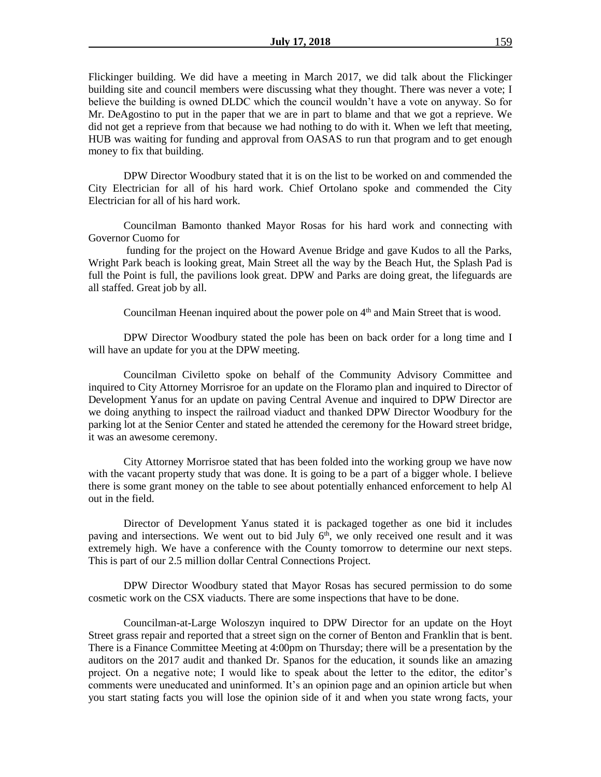Flickinger building. We did have a meeting in March 2017, we did talk about the Flickinger building site and council members were discussing what they thought. There was never a vote; I believe the building is owned DLDC which the council wouldn't have a vote on anyway. So for Mr. DeAgostino to put in the paper that we are in part to blame and that we got a reprieve. We did not get a reprieve from that because we had nothing to do with it. When we left that meeting, HUB was waiting for funding and approval from OASAS to run that program and to get enough money to fix that building.

DPW Director Woodbury stated that it is on the list to be worked on and commended the City Electrician for all of his hard work. Chief Ortolano spoke and commended the City Electrician for all of his hard work.

Councilman Bamonto thanked Mayor Rosas for his hard work and connecting with Governor Cuomo for

funding for the project on the Howard Avenue Bridge and gave Kudos to all the Parks, Wright Park beach is looking great, Main Street all the way by the Beach Hut, the Splash Pad is full the Point is full, the pavilions look great. DPW and Parks are doing great, the lifeguards are all staffed. Great job by all.

Councilman Heenan inquired about the power pole on  $4<sup>th</sup>$  and Main Street that is wood.

DPW Director Woodbury stated the pole has been on back order for a long time and I will have an update for you at the DPW meeting.

Councilman Civiletto spoke on behalf of the Community Advisory Committee and inquired to City Attorney Morrisroe for an update on the Floramo plan and inquired to Director of Development Yanus for an update on paving Central Avenue and inquired to DPW Director are we doing anything to inspect the railroad viaduct and thanked DPW Director Woodbury for the parking lot at the Senior Center and stated he attended the ceremony for the Howard street bridge, it was an awesome ceremony.

City Attorney Morrisroe stated that has been folded into the working group we have now with the vacant property study that was done. It is going to be a part of a bigger whole. I believe there is some grant money on the table to see about potentially enhanced enforcement to help Al out in the field.

Director of Development Yanus stated it is packaged together as one bid it includes paving and intersections. We went out to bid July  $6<sup>th</sup>$ , we only received one result and it was extremely high. We have a conference with the County tomorrow to determine our next steps. This is part of our 2.5 million dollar Central Connections Project.

DPW Director Woodbury stated that Mayor Rosas has secured permission to do some cosmetic work on the CSX viaducts. There are some inspections that have to be done.

Councilman-at-Large Woloszyn inquired to DPW Director for an update on the Hoyt Street grass repair and reported that a street sign on the corner of Benton and Franklin that is bent. There is a Finance Committee Meeting at 4:00pm on Thursday; there will be a presentation by the auditors on the 2017 audit and thanked Dr. Spanos for the education, it sounds like an amazing project. On a negative note; I would like to speak about the letter to the editor, the editor's comments were uneducated and uninformed. It's an opinion page and an opinion article but when you start stating facts you will lose the opinion side of it and when you state wrong facts, your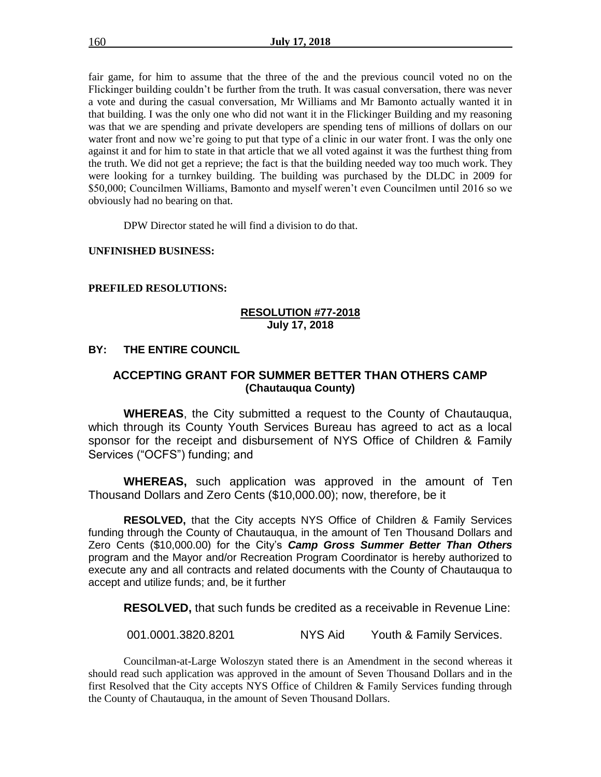fair game, for him to assume that the three of the and the previous council voted no on the Flickinger building couldn't be further from the truth. It was casual conversation, there was never a vote and during the casual conversation, Mr Williams and Mr Bamonto actually wanted it in that building. I was the only one who did not want it in the Flickinger Building and my reasoning was that we are spending and private developers are spending tens of millions of dollars on our water front and now we're going to put that type of a clinic in our water front. I was the only one against it and for him to state in that article that we all voted against it was the furthest thing from the truth. We did not get a reprieve; the fact is that the building needed way too much work. They were looking for a turnkey building. The building was purchased by the DLDC in 2009 for \$50,000; Councilmen Williams, Bamonto and myself weren't even Councilmen until 2016 so we obviously had no bearing on that.

DPW Director stated he will find a division to do that.

**UNFINISHED BUSINESS:**

#### **PREFILED RESOLUTIONS:**

#### **RESOLUTION #77-2018 July 17, 2018**

### **BY: THE ENTIRE COUNCIL**

## **ACCEPTING GRANT FOR SUMMER BETTER THAN OTHERS CAMP (Chautauqua County)**

**WHEREAS**, the City submitted a request to the County of Chautauqua, which through its County Youth Services Bureau has agreed to act as a local sponsor for the receipt and disbursement of NYS Office of Children & Family Services ("OCFS") funding; and

**WHEREAS,** such application was approved in the amount of Ten Thousand Dollars and Zero Cents (\$10,000.00); now, therefore, be it

**RESOLVED,** that the City accepts NYS Office of Children & Family Services funding through the County of Chautauqua, in the amount of Ten Thousand Dollars and Zero Cents (\$10,000.00) for the City's *Camp Gross Summer Better Than Others* program and the Mayor and/or Recreation Program Coordinator is hereby authorized to execute any and all contracts and related documents with the County of Chautauqua to accept and utilize funds; and, be it further

**RESOLVED,** that such funds be credited as a receivable in Revenue Line:

001.0001.3820.8201 NYS Aid Youth & Family Services.

Councilman-at-Large Woloszyn stated there is an Amendment in the second whereas it should read such application was approved in the amount of Seven Thousand Dollars and in the first Resolved that the City accepts NYS Office of Children & Family Services funding through the County of Chautauqua, in the amount of Seven Thousand Dollars.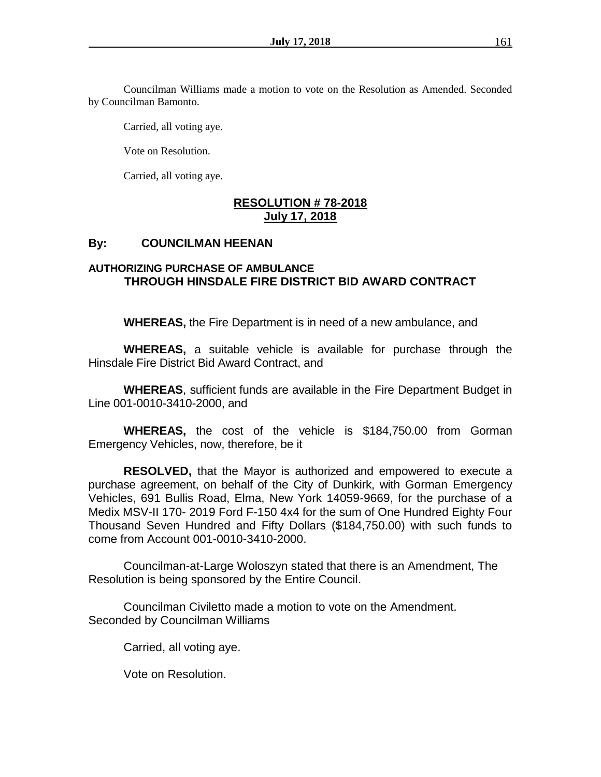Councilman Williams made a motion to vote on the Resolution as Amended. Seconded by Councilman Bamonto.

Carried, all voting aye.

Vote on Resolution.

Carried, all voting aye.

## **RESOLUTION # 78-2018 July 17, 2018**

## **By: COUNCILMAN HEENAN**

## **AUTHORIZING PURCHASE OF AMBULANCE THROUGH HINSDALE FIRE DISTRICT BID AWARD CONTRACT**

**WHEREAS,** the Fire Department is in need of a new ambulance, and

**WHEREAS,** a suitable vehicle is available for purchase through the Hinsdale Fire District Bid Award Contract, and

**WHEREAS**, sufficient funds are available in the Fire Department Budget in Line 001-0010-3410-2000, and

**WHEREAS,** the cost of the vehicle is \$184,750.00 from Gorman Emergency Vehicles, now, therefore, be it

**RESOLVED,** that the Mayor is authorized and empowered to execute a purchase agreement, on behalf of the City of Dunkirk, with Gorman Emergency Vehicles, 691 Bullis Road, Elma, New York 14059-9669, for the purchase of a Medix MSV-II 170- 2019 Ford F-150 4x4 for the sum of One Hundred Eighty Four Thousand Seven Hundred and Fifty Dollars (\$184,750.00) with such funds to come from Account 001-0010-3410-2000.

Councilman-at-Large Woloszyn stated that there is an Amendment, The Resolution is being sponsored by the Entire Council.

Councilman Civiletto made a motion to vote on the Amendment. Seconded by Councilman Williams

Carried, all voting aye.

Vote on Resolution.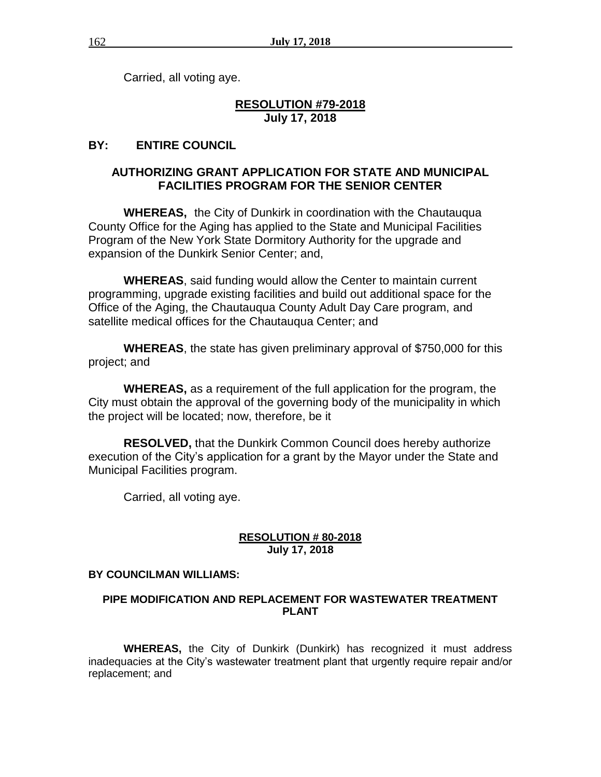Carried, all voting aye.

## **RESOLUTION #79-2018 July 17, 2018**

# **BY: ENTIRE COUNCIL**

## **AUTHORIZING GRANT APPLICATION FOR STATE AND MUNICIPAL FACILITIES PROGRAM FOR THE SENIOR CENTER**

**WHEREAS,** the City of Dunkirk in coordination with the Chautauqua County Office for the Aging has applied to the State and Municipal Facilities Program of the New York State Dormitory Authority for the upgrade and expansion of the Dunkirk Senior Center; and,

**WHEREAS**, said funding would allow the Center to maintain current programming, upgrade existing facilities and build out additional space for the Office of the Aging, the Chautauqua County Adult Day Care program, and satellite medical offices for the Chautauqua Center; and

**WHEREAS**, the state has given preliminary approval of \$750,000 for this project; and

**WHEREAS,** as a requirement of the full application for the program, the City must obtain the approval of the governing body of the municipality in which the project will be located; now, therefore, be it

**RESOLVED,** that the Dunkirk Common Council does hereby authorize execution of the City's application for a grant by the Mayor under the State and Municipal Facilities program.

Carried, all voting aye.

## **RESOLUTION # 80-2018 July 17, 2018**

## **BY COUNCILMAN WILLIAMS:**

## **PIPE MODIFICATION AND REPLACEMENT FOR WASTEWATER TREATMENT PLANT**

**WHEREAS,** the City of Dunkirk (Dunkirk) has recognized it must address inadequacies at the City's wastewater treatment plant that urgently require repair and/or replacement; and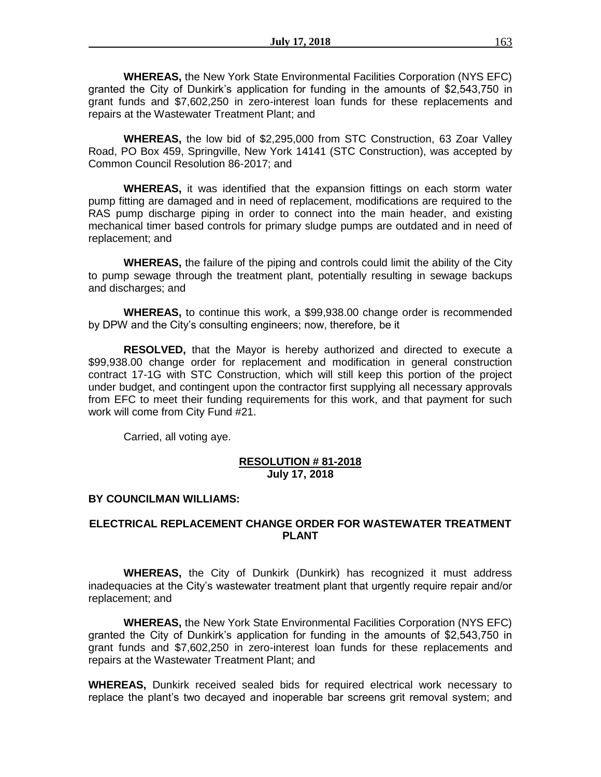**WHEREAS,** the New York State Environmental Facilities Corporation (NYS EFC) granted the City of Dunkirk's application for funding in the amounts of \$2,543,750 in grant funds and \$7,602,250 in zero-interest loan funds for these replacements and repairs at the Wastewater Treatment Plant; and

**WHEREAS,** the low bid of \$2,295,000 from STC Construction, 63 Zoar Valley Road, PO Box 459, Springville, New York 14141 (STC Construction), was accepted by Common Council Resolution 86-2017; and

**WHEREAS,** it was identified that the expansion fittings on each storm water pump fitting are damaged and in need of replacement, modifications are required to the RAS pump discharge piping in order to connect into the main header, and existing mechanical timer based controls for primary sludge pumps are outdated and in need of replacement; and

**WHEREAS,** the failure of the piping and controls could limit the ability of the City to pump sewage through the treatment plant, potentially resulting in sewage backups and discharges; and

**WHEREAS,** to continue this work, a \$99,938.00 change order is recommended by DPW and the City's consulting engineers; now, therefore, be it

**RESOLVED,** that the Mayor is hereby authorized and directed to execute a \$99,938.00 change order for replacement and modification in general construction contract 17-1G with STC Construction, which will still keep this portion of the project under budget, and contingent upon the contractor first supplying all necessary approvals from EFC to meet their funding requirements for this work, and that payment for such work will come from City Fund #21.

Carried, all voting aye.

## **RESOLUTION # 81-2018 July 17, 2018**

### **BY COUNCILMAN WILLIAMS:**

## **ELECTRICAL REPLACEMENT CHANGE ORDER FOR WASTEWATER TREATMENT PLANT**

**WHEREAS,** the City of Dunkirk (Dunkirk) has recognized it must address inadequacies at the City's wastewater treatment plant that urgently require repair and/or replacement; and

**WHEREAS,** the New York State Environmental Facilities Corporation (NYS EFC) granted the City of Dunkirk's application for funding in the amounts of \$2,543,750 in grant funds and \$7,602,250 in zero-interest loan funds for these replacements and repairs at the Wastewater Treatment Plant; and

**WHEREAS,** Dunkirk received sealed bids for required electrical work necessary to replace the plant's two decayed and inoperable bar screens grit removal system; and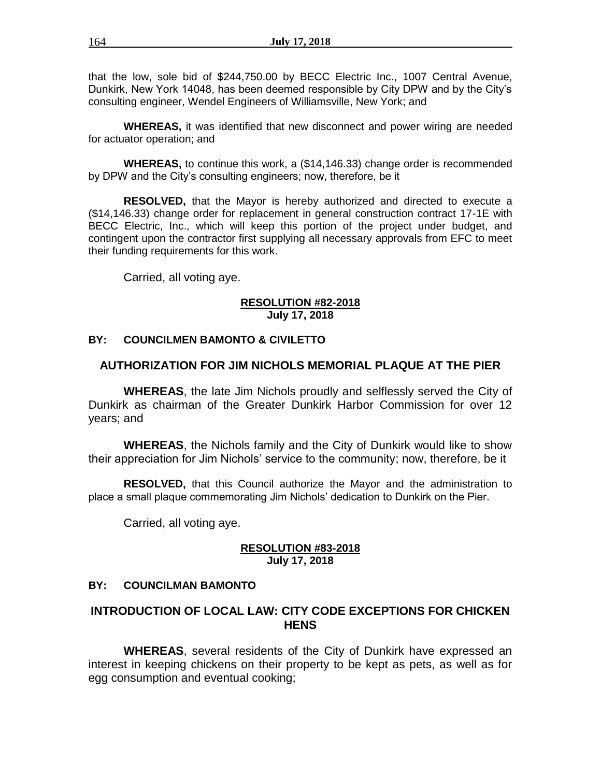that the low, sole bid of \$244,750.00 by BECC Electric Inc., 1007 Central Avenue, Dunkirk, New York 14048, has been deemed responsible by City DPW and by the City's consulting engineer, Wendel Engineers of Williamsville, New York; and

**WHEREAS,** it was identified that new disconnect and power wiring are needed for actuator operation; and

**WHEREAS,** to continue this work, a (\$14,146.33) change order is recommended by DPW and the City's consulting engineers; now, therefore, be it

**RESOLVED,** that the Mayor is hereby authorized and directed to execute a (\$14,146.33) change order for replacement in general construction contract 17-1E with BECC Electric, Inc., which will keep this portion of the project under budget, and contingent upon the contractor first supplying all necessary approvals from EFC to meet their funding requirements for this work.

Carried, all voting aye.

#### **RESOLUTION #82-2018 July 17, 2018**

## **BY: COUNCILMEN BAMONTO & CIVILETTO**

## **AUTHORIZATION FOR JIM NICHOLS MEMORIAL PLAQUE AT THE PIER**

**WHEREAS**, the late Jim Nichols proudly and selflessly served the City of Dunkirk as chairman of the Greater Dunkirk Harbor Commission for over 12 years; and

**WHEREAS**, the Nichols family and the City of Dunkirk would like to show their appreciation for Jim Nichols' service to the community; now, therefore, be it

**RESOLVED,** that this Council authorize the Mayor and the administration to place a small plaque commemorating Jim Nichols' dedication to Dunkirk on the Pier.

Carried, all voting aye.

#### **RESOLUTION #83-2018 July 17, 2018**

### **BY: COUNCILMAN BAMONTO**

## **INTRODUCTION OF LOCAL LAW: CITY CODE EXCEPTIONS FOR CHICKEN HENS**

**WHEREAS**, several residents of the City of Dunkirk have expressed an interest in keeping chickens on their property to be kept as pets, as well as for egg consumption and eventual cooking;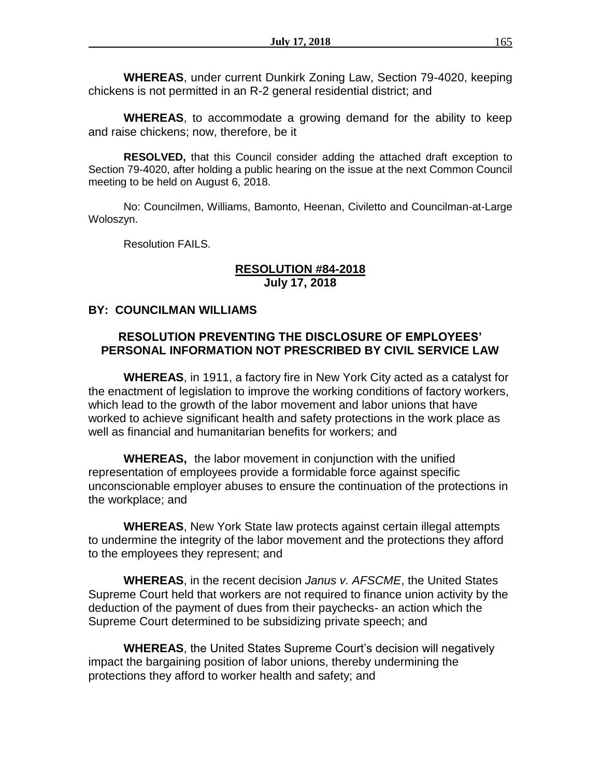**WHEREAS**, under current Dunkirk Zoning Law, Section 79-4020, keeping chickens is not permitted in an R-2 general residential district; and

**WHEREAS**, to accommodate a growing demand for the ability to keep and raise chickens; now, therefore, be it

**RESOLVED,** that this Council consider adding the attached draft exception to Section 79-4020, after holding a public hearing on the issue at the next Common Council meeting to be held on August 6, 2018.

No: Councilmen, Williams, Bamonto, Heenan, Civiletto and Councilman-at-Large Woloszyn.

Resolution FAILS.

## **RESOLUTION #84-2018 July 17, 2018**

### **BY: COUNCILMAN WILLIAMS**

## **RESOLUTION PREVENTING THE DISCLOSURE OF EMPLOYEES' PERSONAL INFORMATION NOT PRESCRIBED BY CIVIL SERVICE LAW**

**WHEREAS**, in 1911, a factory fire in New York City acted as a catalyst for the enactment of legislation to improve the working conditions of factory workers, which lead to the growth of the labor movement and labor unions that have worked to achieve significant health and safety protections in the work place as well as financial and humanitarian benefits for workers; and

**WHEREAS,** the labor movement in conjunction with the unified representation of employees provide a formidable force against specific unconscionable employer abuses to ensure the continuation of the protections in the workplace; and

**WHEREAS**, New York State law protects against certain illegal attempts to undermine the integrity of the labor movement and the protections they afford to the employees they represent; and

**WHEREAS**, in the recent decision *Janus v. AFSCME*, the United States Supreme Court held that workers are not required to finance union activity by the deduction of the payment of dues from their paychecks- an action which the Supreme Court determined to be subsidizing private speech; and

**WHEREAS**, the United States Supreme Court's decision will negatively impact the bargaining position of labor unions, thereby undermining the protections they afford to worker health and safety; and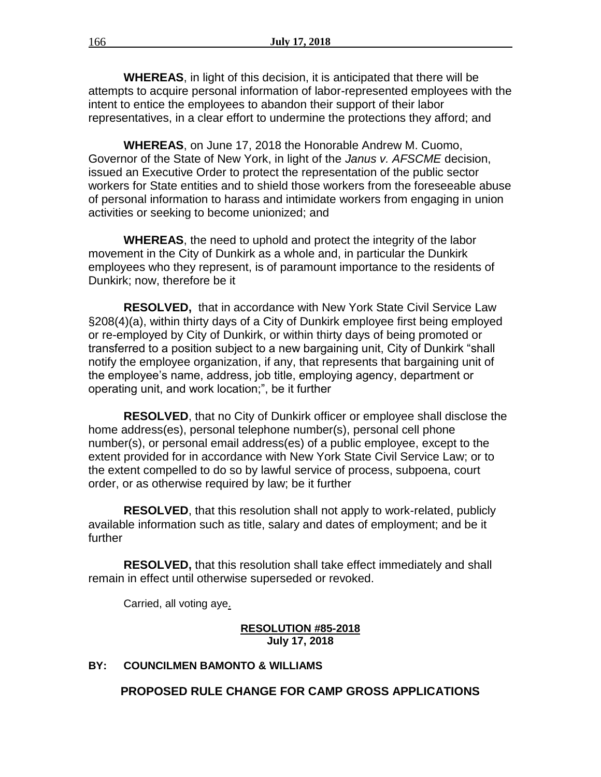**WHEREAS**, in light of this decision, it is anticipated that there will be attempts to acquire personal information of labor-represented employees with the intent to entice the employees to abandon their support of their labor representatives, in a clear effort to undermine the protections they afford; and

**WHEREAS**, on June 17, 2018 the Honorable Andrew M. Cuomo, Governor of the State of New York, in light of the *Janus v. AFSCME* decision, issued an Executive Order to protect the representation of the public sector workers for State entities and to shield those workers from the foreseeable abuse of personal information to harass and intimidate workers from engaging in union activities or seeking to become unionized; and

**WHEREAS**, the need to uphold and protect the integrity of the labor movement in the City of Dunkirk as a whole and, in particular the Dunkirk employees who they represent, is of paramount importance to the residents of Dunkirk; now, therefore be it

**RESOLVED,** that in accordance with New York State Civil Service Law §208(4)(a), within thirty days of a City of Dunkirk employee first being employed or re-employed by City of Dunkirk, or within thirty days of being promoted or transferred to a position subject to a new bargaining unit, City of Dunkirk "shall notify the employee organization, if any, that represents that bargaining unit of the employee's name, address, job title, employing agency, department or operating unit, and work location;", be it further

**RESOLVED**, that no City of Dunkirk officer or employee shall disclose the home address(es), personal telephone number(s), personal cell phone number(s), or personal email address(es) of a public employee, except to the extent provided for in accordance with New York State Civil Service Law; or to the extent compelled to do so by lawful service of process, subpoena, court order, or as otherwise required by law; be it further

**RESOLVED**, that this resolution shall not apply to work-related, publicly available information such as title, salary and dates of employment; and be it further

**RESOLVED,** that this resolution shall take effect immediately and shall remain in effect until otherwise superseded or revoked.

Carried, all voting aye.

#### **RESOLUTION #85-2018 July 17, 2018**

### **BY: COUNCILMEN BAMONTO & WILLIAMS**

**PROPOSED RULE CHANGE FOR CAMP GROSS APPLICATIONS**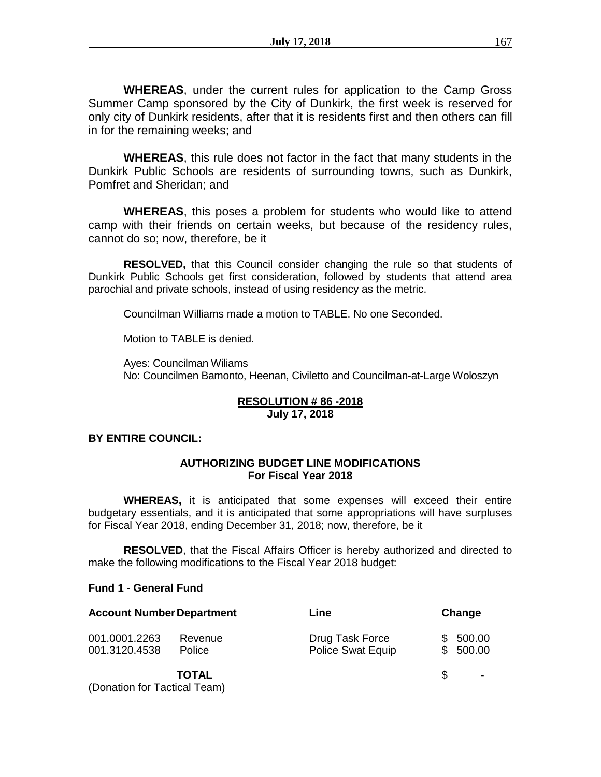**WHEREAS**, under the current rules for application to the Camp Gross Summer Camp sponsored by the City of Dunkirk, the first week is reserved for only city of Dunkirk residents, after that it is residents first and then others can fill in for the remaining weeks; and

**WHEREAS**, this rule does not factor in the fact that many students in the Dunkirk Public Schools are residents of surrounding towns, such as Dunkirk, Pomfret and Sheridan; and

**WHEREAS**, this poses a problem for students who would like to attend camp with their friends on certain weeks, but because of the residency rules, cannot do so; now, therefore, be it

**RESOLVED,** that this Council consider changing the rule so that students of Dunkirk Public Schools get first consideration, followed by students that attend area parochial and private schools, instead of using residency as the metric.

Councilman Williams made a motion to TABLE. No one Seconded.

Motion to TABLE is denied.

Ayes: Councilman Wiliams No: Councilmen Bamonto, Heenan, Civiletto and Councilman-at-Large Woloszyn

### **RESOLUTION # 86 -2018 July 17, 2018**

## **BY ENTIRE COUNCIL:**

## **AUTHORIZING BUDGET LINE MODIFICATIONS For Fiscal Year 2018**

**WHEREAS,** it is anticipated that some expenses will exceed their entire budgetary essentials, and it is anticipated that some appropriations will have surpluses for Fiscal Year 2018, ending December 31, 2018; now, therefore, be it

**RESOLVED**, that the Fiscal Affairs Officer is hereby authorized and directed to make the following modifications to the Fiscal Year 2018 budget:

## **Fund 1 - General Fund**

| <b>Account Number Department</b> |                          | Line                                        | Change               |                          |
|----------------------------------|--------------------------|---------------------------------------------|----------------------|--------------------------|
| 001.0001.2263<br>001.3120.4538   | Revenue<br><b>Police</b> | Drug Task Force<br><b>Police Swat Equip</b> | \$500.00<br>\$500.00 |                          |
| (Donation for Tactical Team)     | <b>TOTAL</b>             |                                             | \$.                  | $\overline{\phantom{a}}$ |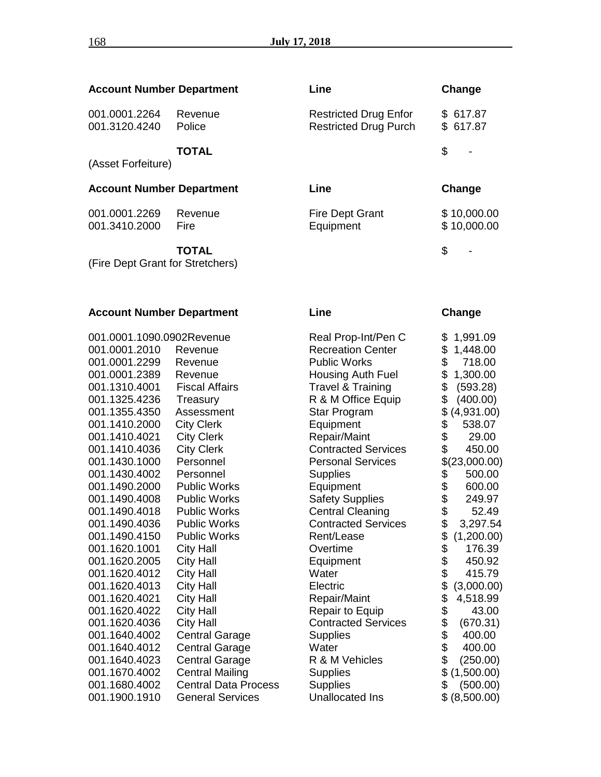| <b>Account Number Department</b> |                   | Line                                                         | Change                     |
|----------------------------------|-------------------|--------------------------------------------------------------|----------------------------|
| 001.0001.2264<br>001.3120.4240   | Revenue<br>Police | <b>Restricted Drug Enfor</b><br><b>Restricted Drug Purch</b> | \$617.87<br>\$617.87       |
| (Asset Forfeiture)               | TOTAL             |                                                              | \$                         |
| <b>Account Number Department</b> |                   | Line                                                         | Change                     |
| 001.0001.2269<br>001.3410.2000   | Revenue<br>Fire   | <b>Fire Dept Grant</b><br>Equipment                          | \$10,000.00<br>\$10,000.00 |
|                                  | TOTAL             |                                                              | \$                         |

(Fire Dept Grant for Stretchers)

| <b>Account Number Department</b> |                             | Line                         | Change                             |  |  |
|----------------------------------|-----------------------------|------------------------------|------------------------------------|--|--|
| 001.0001.1090.0902Revenue        |                             | Real Prop-Int/Pen C          | \$<br>1,991.09                     |  |  |
| 001.0001.2010                    | Revenue                     | <b>Recreation Center</b>     | \$<br>1,448.00                     |  |  |
| 001.0001.2299                    | Revenue                     | <b>Public Works</b>          | \$<br>718.00                       |  |  |
| 001.0001.2389                    | Revenue                     | Housing Auth Fuel            | \$<br>1,300.00                     |  |  |
| 001.1310.4001                    | <b>Fiscal Affairs</b>       | <b>Travel &amp; Training</b> | \$<br>(593.28)                     |  |  |
| 001.1325.4236                    | Treasury                    | R & M Office Equip           | \$<br>(400.00)                     |  |  |
| 001.1355.4350                    | Assessment                  | Star Program                 | \$<br>(4,931.00)                   |  |  |
| 001.1410.2000                    | <b>City Clerk</b>           | Equipment                    | \$<br>538.07                       |  |  |
| 001.1410.4021                    | <b>City Clerk</b>           | Repair/Maint                 | \$<br>29.00                        |  |  |
| 001.1410.4036                    | <b>City Clerk</b>           | <b>Contracted Services</b>   | \$<br>450.00                       |  |  |
| 001.1430.1000                    | Personnel                   | <b>Personal Services</b>     | \$(23,000.00)                      |  |  |
| 001.1430.4002                    | Personnel                   | <b>Supplies</b>              | \$<br>500.00                       |  |  |
| 001.1490.2000                    | <b>Public Works</b>         | Equipment                    | \$<br>600.00                       |  |  |
| 001.1490.4008                    | <b>Public Works</b>         | <b>Safety Supplies</b>       | \$\$\$\$<br>249.97                 |  |  |
| 001.1490.4018                    | <b>Public Works</b>         | <b>Central Cleaning</b>      | 52.49                              |  |  |
| 001.1490.4036                    | <b>Public Works</b>         | <b>Contracted Services</b>   | 3,297.54                           |  |  |
| 001.1490.4150                    | <b>Public Works</b>         | Rent/Lease                   | (1,200.00)                         |  |  |
| 001.1620.1001                    | <b>City Hall</b>            | Overtime                     | 176.39                             |  |  |
| 001.1620.2005                    | <b>City Hall</b>            | Equipment                    | 450.92                             |  |  |
| 001.1620.4012                    | <b>City Hall</b>            | Water                        | 415.79                             |  |  |
| 001.1620.4013                    | <b>City Hall</b>            | Electric                     | \$\$\$\$\$\$\$\$\$\$<br>(3,000.00) |  |  |
| 001.1620.4021                    | <b>City Hall</b>            | Repair/Maint                 | 4,518.99                           |  |  |
| 001.1620.4022                    | <b>City Hall</b>            | Repair to Equip              | 43.00                              |  |  |
| 001.1620.4036                    | <b>City Hall</b>            | <b>Contracted Services</b>   | (670.31)                           |  |  |
| 001.1640.4002                    | <b>Central Garage</b>       | <b>Supplies</b>              | 400.00                             |  |  |
| 001.1640.4012                    | <b>Central Garage</b>       | Water                        | 400.00                             |  |  |
| 001.1640.4023                    | <b>Central Garage</b>       | R & M Vehicles               | \$<br>(250.00)                     |  |  |
| 001.1670.4002                    | <b>Central Mailing</b>      | <b>Supplies</b>              | \$<br>(1,500.00)                   |  |  |
| 001.1680.4002                    | <b>Central Data Process</b> | <b>Supplies</b>              | \$<br>(500.00)                     |  |  |
| 001.1900.1910                    | <b>General Services</b>     | <b>Unallocated Ins</b>       | \$<br>(8,500.00)                   |  |  |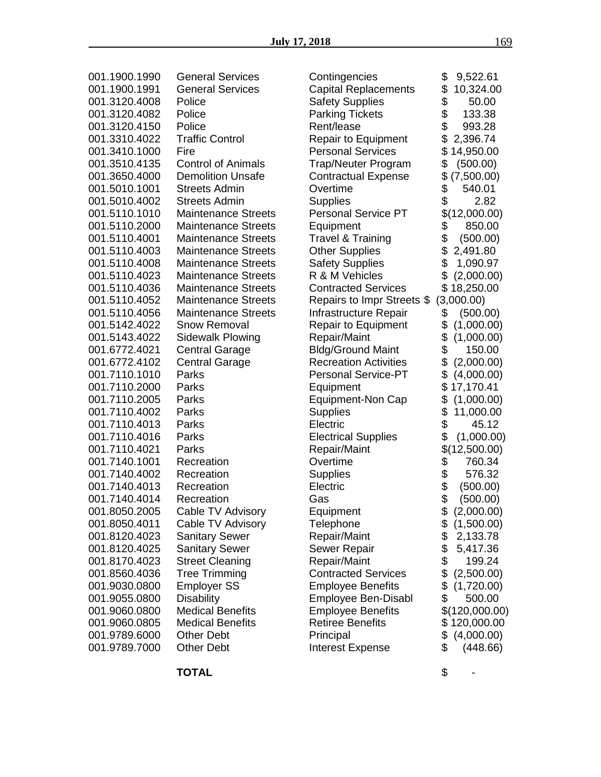| 001.1900.1990 | <b>General Services</b>    | Contingencies                | \$<br>9,522.61   |
|---------------|----------------------------|------------------------------|------------------|
|               |                            |                              |                  |
| 001.1900.1991 | <b>General Services</b>    | <b>Capital Replacements</b>  | \$<br>10,324.00  |
| 001.3120.4008 | Police                     | <b>Safety Supplies</b>       | \$<br>50.00      |
| 001.3120.4082 | Police                     | <b>Parking Tickets</b>       | \$<br>133.38     |
|               |                            |                              |                  |
| 001.3120.4150 | Police                     | Rent/lease                   | \$<br>993.28     |
| 001.3310.4022 | <b>Traffic Control</b>     | <b>Repair to Equipment</b>   | \$<br>2,396.74   |
|               |                            |                              |                  |
| 001.3410.1000 | Fire                       | <b>Personal Services</b>     | \$<br>14,950.00  |
| 001.3510.4135 | <b>Control of Animals</b>  | Trap/Neuter Program          | \$<br>(500.00)   |
| 001.3650.4000 | <b>Demolition Unsafe</b>   | <b>Contractual Expense</b>   | \$<br>(7,500.00) |
|               |                            |                              |                  |
| 001.5010.1001 | <b>Streets Admin</b>       | Overtime                     | \$<br>540.01     |
| 001.5010.4002 | <b>Streets Admin</b>       | <b>Supplies</b>              | \$<br>2.82       |
| 001.5110.1010 | <b>Maintenance Streets</b> | <b>Personal Service PT</b>   | \$(12,000.00)    |
|               |                            |                              |                  |
| 001.5110.2000 | <b>Maintenance Streets</b> | Equipment                    | \$<br>850.00     |
| 001.5110.4001 | <b>Maintenance Streets</b> | <b>Travel &amp; Training</b> | \$<br>(500.00)   |
| 001.5110.4003 | <b>Maintenance Streets</b> | <b>Other Supplies</b>        | \$<br>2,491.80   |
|               |                            |                              |                  |
| 001.5110.4008 | <b>Maintenance Streets</b> | <b>Safety Supplies</b>       | \$<br>1,090.97   |
| 001.5110.4023 | <b>Maintenance Streets</b> | R & M Vehicles               | \$<br>(2,000.00) |
|               |                            |                              |                  |
| 001.5110.4036 | <b>Maintenance Streets</b> | <b>Contracted Services</b>   | \$18,250.00      |
| 001.5110.4052 | <b>Maintenance Streets</b> | Repairs to Impr Streets \$   | (3,000.00)       |
| 001.5110.4056 | <b>Maintenance Streets</b> | Infrastructure Repair        | (500.00)<br>\$   |
| 001.5142.4022 | <b>Snow Removal</b>        | Repair to Equipment          | \$<br>(1,000.00) |
|               |                            |                              |                  |
| 001.5143.4022 | Sidewalk Plowing           | Repair/Maint                 | \$<br>(1,000.00) |
| 001.6772.4021 | <b>Central Garage</b>      | <b>Bldg/Ground Maint</b>     | \$<br>150.00     |
| 001.6772.4102 | <b>Central Garage</b>      | <b>Recreation Activities</b> | \$<br>(2,000.00) |
|               |                            |                              |                  |
| 001.7110.1010 | Parks                      | <b>Personal Service-PT</b>   | \$<br>(4,000.00) |
| 001.7110.2000 | Parks                      | Equipment                    | \$<br>17,170.41  |
| 001.7110.2005 | Parks                      | <b>Equipment-Non Cap</b>     | \$<br>(1,000.00) |
| 001.7110.4002 | Parks                      |                              | \$               |
|               |                            | <b>Supplies</b>              | 11,000.00        |
| 001.7110.4013 | Parks                      | Electric                     | \$<br>45.12      |
| 001.7110.4016 | Parks                      | <b>Electrical Supplies</b>   | \$<br>(1,000.00) |
| 001.7110.4021 | Parks                      | Repair/Maint                 | \$(12,500.00)    |
|               |                            |                              |                  |
| 001.7140.1001 | Recreation                 | Overtime                     | \$<br>760.34     |
| 001.7140.4002 | Recreation                 | <b>Supplies</b>              | \$<br>576.32     |
| 001.7140.4013 | Recreation                 | Electric                     | (500.00)         |
|               |                            |                              |                  |
| 001.7140.4014 | Recreation                 | Gas                          | \$<br>(500.00)   |
| 001.8050.2005 | Cable TV Advisory          | Equipment                    | (2,000.00)<br>\$ |
| 001.8050.4011 | Cable TV Advisory          | Telephone                    | \$<br>(1,500.00) |
|               |                            |                              |                  |
| 001.8120.4023 | <b>Sanitary Sewer</b>      | Repair/Maint                 | \$<br>2,133.78   |
| 001.8120.4025 | <b>Sanitary Sewer</b>      | <b>Sewer Repair</b>          | \$<br>5,417.36   |
| 001.8170.4023 | <b>Street Cleaning</b>     | Repair/Maint                 | \$<br>199.24     |
|               |                            |                              |                  |
| 001.8560.4036 | <b>Tree Trimming</b>       | <b>Contracted Services</b>   | \$<br>(2,500.00) |
| 001.9030.0800 | <b>Employer SS</b>         | <b>Employee Benefits</b>     | \$<br>(1,720.00) |
| 001.9055.0800 | <b>Disability</b>          | Employee Ben-Disabl          | \$<br>500.00     |
| 001.9060.0800 | <b>Medical Benefits</b>    | <b>Employee Benefits</b>     | \$(120,000.00)   |
|               |                            |                              |                  |
| 001.9060.0805 | <b>Medical Benefits</b>    | <b>Retiree Benefits</b>      | \$120,000.00     |
| 001.9789.6000 | <b>Other Debt</b>          | Principal                    | \$<br>(4,000.00) |
| 001.9789.7000 | <b>Other Debt</b>          | <b>Interest Expense</b>      | \$<br>(448.66)   |
|               |                            |                              |                  |

**TOTAL** \$ -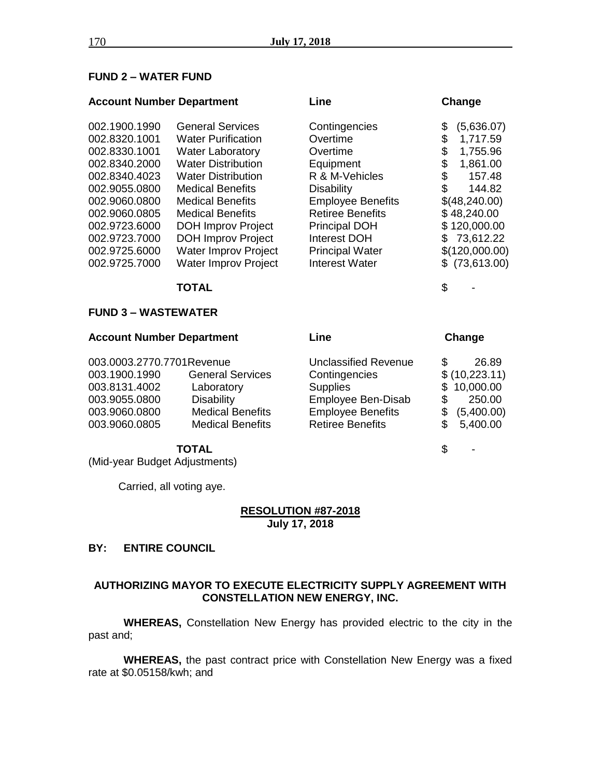### **FUND 2 – WATER FUND**

### **Account Number Department Line Change**

| 002.1900.1990 | <b>General Services</b>     | Contingencies            | (5,636.07)<br>\$ |
|---------------|-----------------------------|--------------------------|------------------|
| 002.8320.1001 | <b>Water Purification</b>   | Overtime                 | 1,717.59<br>\$   |
| 002.8330.1001 | <b>Water Laboratory</b>     | Overtime                 | 1,755.96<br>\$   |
| 002.8340.2000 | <b>Water Distribution</b>   | Equipment                | 1,861.00<br>\$   |
| 002.8340.4023 | <b>Water Distribution</b>   | R & M-Vehicles           | 157.48<br>\$     |
| 002.9055.0800 | <b>Medical Benefits</b>     | <b>Disability</b>        | \$<br>144.82     |
| 002.9060.0800 | <b>Medical Benefits</b>     | <b>Employee Benefits</b> | \$(48,240.00)    |
| 002.9060.0805 | <b>Medical Benefits</b>     | <b>Retiree Benefits</b>  | \$48,240.00      |
| 002.9723.6000 | <b>DOH Improv Project</b>   | <b>Principal DOH</b>     | \$120,000.00     |
| 002.9723.7000 | <b>DOH Improv Project</b>   | Interest DOH             | 73,612.22<br>\$. |
| 002.9725.6000 | <b>Water Improv Project</b> | <b>Principal Water</b>   | \$(120,000.00)   |
| 002.9725.7000 | <b>Water Improv Project</b> | <b>Interest Water</b>    | \$(73,613.00)    |
|               |                             |                          |                  |

## **TOTAL** \$ -

#### **FUND 3 – WASTEWATER**

| <b>Account Number Department</b> |                         | ∟ine                        | Change          |  |
|----------------------------------|-------------------------|-----------------------------|-----------------|--|
| 003.0003.2770.7701Revenue        |                         | <b>Unclassified Revenue</b> | 26.89<br>\$.    |  |
| 003.1900.1990                    | <b>General Services</b> | Contingencies               | \$(10,223.11)   |  |
| 003.8131.4002                    | Laboratory              | <b>Supplies</b>             | \$10,000.00     |  |
| 003.9055.0800                    | <b>Disability</b>       | Employee Ben-Disab          | 250.00          |  |
| 003.9060.0800                    | <b>Medical Benefits</b> | <b>Employee Benefits</b>    | (5,400.00)<br>S |  |
| 003.9060.0805                    | <b>Medical Benefits</b> | <b>Retiree Benefits</b>     | 5,400.00<br>\$. |  |

#### **TOTAL** \$ -

(Mid-year Budget Adjustments)

Carried, all voting aye.

### **RESOLUTION #87-2018 July 17, 2018**

## **BY: ENTIRE COUNCIL**

## **AUTHORIZING MAYOR TO EXECUTE ELECTRICITY SUPPLY AGREEMENT WITH CONSTELLATION NEW ENERGY, INC.**

**WHEREAS,** Constellation New Energy has provided electric to the city in the past and;

**WHEREAS,** the past contract price with Constellation New Energy was a fixed rate at \$0.05158/kwh; and